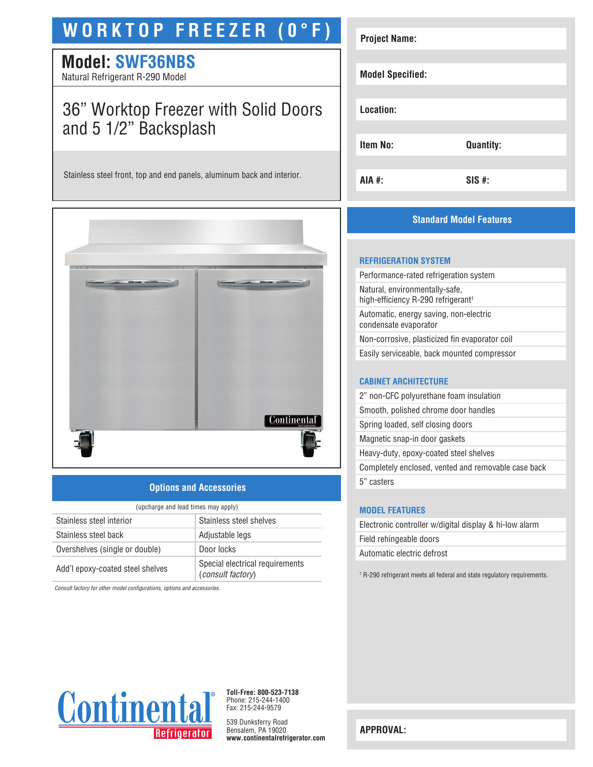# **WORKTOP FREEZER (0°F)**

# **Model: SWF36NBS**

Natural Refrigerant R-290 Model

# 36" Worktop Freezer with Solid Doors and 5 1/2" Backsplash

Stainless steel front, top and end panels, aluminum back and interior.



## **Options and Accessories**

| (upcharge and lead times may apply) |                                                             |  |
|-------------------------------------|-------------------------------------------------------------|--|
| Stainless steel interior            | Stainless steel shelves                                     |  |
| Stainless steel back                | Adjustable legs                                             |  |
| Overshelves (single or double)      | Door locks                                                  |  |
| Add'l epoxy-coated steel shelves    | Special electrical requirements<br><i>(consult factory)</i> |  |

*Consult factory for other model configurations, options and accessories.*

| <b>Project Name:</b>    |                  |
|-------------------------|------------------|
| <b>Model Specified:</b> |                  |
| Location:               |                  |
| <b>Item No:</b>         | <b>Quantity:</b> |
| AIA #:                  | $SIS$ #:         |

# **Standard Model Features**

#### **REFRIGERATION SYSTEM**

Performance-rated refrigeration system Natural, environmentally-safe, high-efficiency R-290 refrigerant<sup>1</sup> Automatic, energy saving, non-electric condensate evaporator Non-corrosive, plasticized fin evaporator coil Easily serviceable, back mounted compressor

## **CABINET ARCHITECTURE**

| 2" non-CFC polyurethane foam insulation             |
|-----------------------------------------------------|
| Smooth, polished chrome door handles                |
| Spring loaded, self closing doors                   |
| Magnetic snap-in door gaskets                       |
| Heavy-duty, epoxy-coated steel shelves              |
| Completely enclosed, vented and removable case back |
| 5" casters                                          |
|                                                     |

## **MODEL FEATURES**

| Electronic controller w/digital display & hi-low alarm |
|--------------------------------------------------------|
| Field rehingeable doors                                |
| Automatic electric defrost                             |
|                                                        |

1 R-290 refrigerant meets all federal and state regulatory requirements.



**Toll-Free: 800-523-7138** Phone: 215-244-1400 Fax: 215-244-9579

539 Dunksferry Road Bensalem, PA 19020 **www.continentalrefrigerator.com** 

**APPROVAL:**